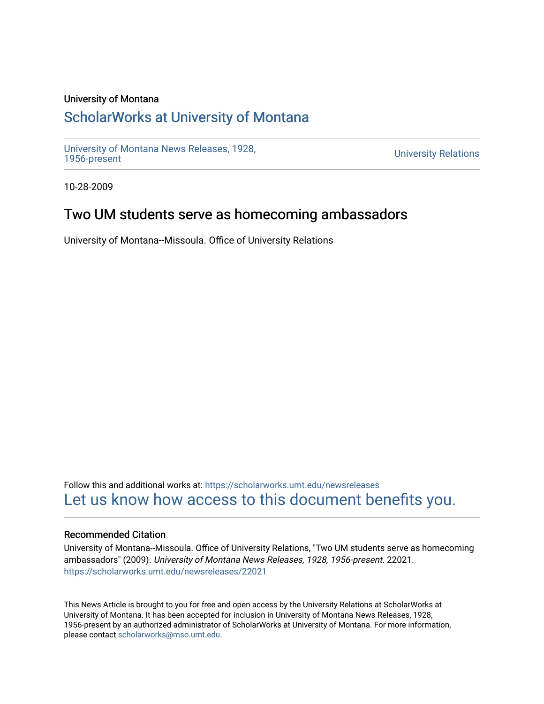### University of Montana

# [ScholarWorks at University of Montana](https://scholarworks.umt.edu/)

[University of Montana News Releases, 1928,](https://scholarworks.umt.edu/newsreleases) 

**University Relations** 

10-28-2009

## Two UM students serve as homecoming ambassadors

University of Montana--Missoula. Office of University Relations

Follow this and additional works at: [https://scholarworks.umt.edu/newsreleases](https://scholarworks.umt.edu/newsreleases?utm_source=scholarworks.umt.edu%2Fnewsreleases%2F22021&utm_medium=PDF&utm_campaign=PDFCoverPages) [Let us know how access to this document benefits you.](https://goo.gl/forms/s2rGfXOLzz71qgsB2) 

#### Recommended Citation

University of Montana--Missoula. Office of University Relations, "Two UM students serve as homecoming ambassadors" (2009). University of Montana News Releases, 1928, 1956-present. 22021. [https://scholarworks.umt.edu/newsreleases/22021](https://scholarworks.umt.edu/newsreleases/22021?utm_source=scholarworks.umt.edu%2Fnewsreleases%2F22021&utm_medium=PDF&utm_campaign=PDFCoverPages) 

This News Article is brought to you for free and open access by the University Relations at ScholarWorks at University of Montana. It has been accepted for inclusion in University of Montana News Releases, 1928, 1956-present by an authorized administrator of ScholarWorks at University of Montana. For more information, please contact [scholarworks@mso.umt.edu.](mailto:scholarworks@mso.umt.edu)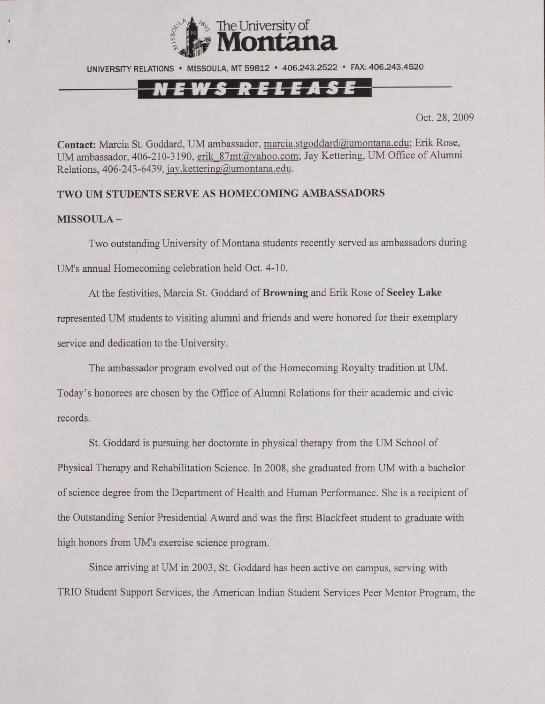

UNIVERSITY RELATIONS • MISSOULA, MT 59812 • 406.243.2522 • FAX: 406.243.4520

### NEWS RELEASE

Oct. 28, 2009

**Contact:** Marcia St. Goddard, UM ambassador, marcia.stgoddard@,umontana.edu; Erik Rose, UM ambassador, 406-210-3190, erik 87mt@yahoo.com; Jay Kettering, UM Office of Alumni Relations, 406-243-6439. [iav.kettering@umontana.edu](mailto:iav.kettering@umontana.edu).

**TWO UM STUDENTS SERVE AS HOMECOMING AMBASSADORS**

#### **MISSOULA -**

Two outstanding University of Montana students recently served as ambassadors during UM's annual Homecoming celebration held Oct. 4-10.

At the festivities, Marcia St. Goddard of **Browning** and Erik Rose of **Seeley Lake** represented UM students to visiting alumni and friends and were honored for their exemplary service and dedication to the University.

The ambassador program evolved out of the Homecoming Royalty tradition at UM.

Today's honorees are chosen by the Office of Alumni Relations for their academic and civic records.

St. Goddard is pursuing her doctorate in physical therapy from the UM School of Physical Therapy and Rehabilitation Science. In 2008, she graduated from UM with a bachelor of science degree from the Department of Health and Human Performance. She is a recipient of the Outstanding Senior Presidential Award and was the first Blackfeet student to graduate with high honors from UM's exercise science program.

Since arriving at UM in 2003, St. Goddard has been active on campus, serving with TRIO Student Support Services, the American Indian Student Services Peer Mentor Program, the